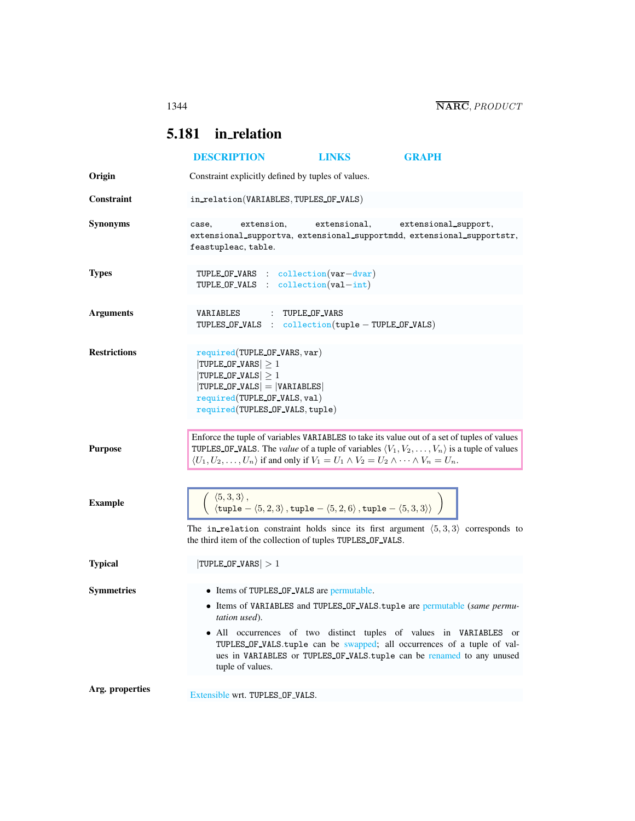## <span id="page-0-0"></span>5.181 in relation

|                     | <b>DESCRIPTION</b>                                                                                                                                                                                                                                                                                                                                     | <b>LINKS</b>    | <b>GRAPH</b>                                                                                                                                     |  |
|---------------------|--------------------------------------------------------------------------------------------------------------------------------------------------------------------------------------------------------------------------------------------------------------------------------------------------------------------------------------------------------|-----------------|--------------------------------------------------------------------------------------------------------------------------------------------------|--|
| Origin              | Constraint explicitly defined by tuples of values.                                                                                                                                                                                                                                                                                                     |                 |                                                                                                                                                  |  |
| <b>Constraint</b>   | in_relation(VARIABLES, TUPLES_OF_VALS)                                                                                                                                                                                                                                                                                                                 |                 |                                                                                                                                                  |  |
| <b>Synonyms</b>     | extension.<br>case,<br>extensional_supportva, extensional_supportmdd, extensional_supportstr,<br>feastupleac, table.                                                                                                                                                                                                                                   | extensional,    | extensional_support,                                                                                                                             |  |
| <b>Types</b>        | TUPLE OF VARS : collection (var-dvar)<br>TUPLE OF VALS : $\text{collection}(val-int)$                                                                                                                                                                                                                                                                  |                 |                                                                                                                                                  |  |
| <b>Arguments</b>    | VARIABLES<br>TUPLES OF VALS : $\text{collection}(\text{tuple} - \text{TUPLE OF VALS})$                                                                                                                                                                                                                                                                 | : TUPLE OF VARS |                                                                                                                                                  |  |
| <b>Restrictions</b> | required(TUPLE_OF_VARS, var)<br>$ TUPLE_OF_VARS  \geq 1$<br>$ TUPLE_OF_VALS  \geq 1$<br>$ TURL OF_VALS  =  VARIABLES $<br>required(TUPLE_OF_VALS, val)<br>required (TUPLES OF VALS, tuple)                                                                                                                                                             |                 |                                                                                                                                                  |  |
| <b>Purpose</b>      | Enforce the tuple of variables VARIABLES to take its value out of a set of tuples of values<br>TUPLES OF VALS. The <i>value</i> of a tuple of variables $\langle V_1, V_2, \ldots, V_n \rangle$ is a tuple of values<br>$\langle U_1, U_2, \ldots, U_n \rangle$ if and only if $V_1 = U_1 \wedge V_2 = U_2 \wedge \cdots \wedge V_n = U_n$ .           |                 |                                                                                                                                                  |  |
| <b>Example</b>      | $\langle 5,3,3 \rangle$ ,<br>$\langle 5, 3, 3 \rangle$ ,<br>$\langle \text{tuple} - \langle 5, 2, 3 \rangle$ , $\text{tuple} - \langle 5, 2, 6 \rangle$ , $\text{tuple} - \langle 5, 3, 3 \rangle$<br>The in relation constraint holds since its first argument $(5,3,3)$ corresponds to<br>the third item of the collection of tuples TUPLES OF VALS. |                 |                                                                                                                                                  |  |
| <b>Typical</b>      | $ TUPLE_OF_VARS  > 1$                                                                                                                                                                                                                                                                                                                                  |                 |                                                                                                                                                  |  |
| <b>Symmetries</b>   | • Items of TUPLES OF VALS are permutable.<br>• Items of VARIABLES and TUPLES_OF_VALS.tuple are permutable (same permu-<br>tation used).<br>• All occurrences of two distinct tuples of values in VARIABLES or<br>tuple of values.                                                                                                                      |                 | TUPLES_OF_VALS.tuple can be swapped; all occurrences of a tuple of val-<br>ues in VARIABLES or TUPLES OF VALS.tuple can be renamed to any unused |  |
| Arg. properties     | Extensible wrt. TUPLES_OF_VALS.                                                                                                                                                                                                                                                                                                                        |                 |                                                                                                                                                  |  |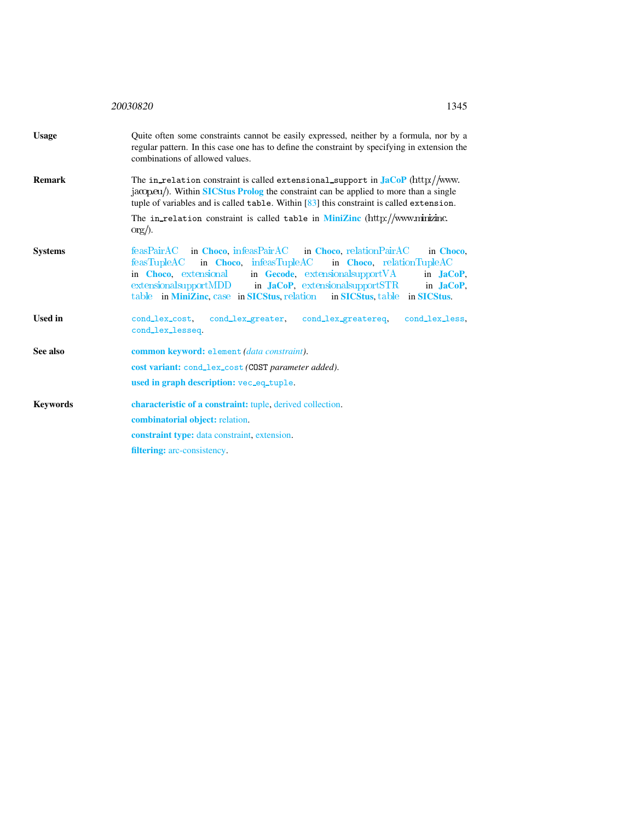<span id="page-1-0"></span>

|                 | 20030820<br>1345                                                                                                                                                                                                                                                                                                                                                                                            |  |  |  |
|-----------------|-------------------------------------------------------------------------------------------------------------------------------------------------------------------------------------------------------------------------------------------------------------------------------------------------------------------------------------------------------------------------------------------------------------|--|--|--|
| <b>Usage</b>    | Quite often some constraints cannot be easily expressed, neither by a formula, nor by a<br>regular pattern. In this case one has to define the constraint by specifying in extension the<br>combinations of allowed values.                                                                                                                                                                                 |  |  |  |
| <b>Remark</b>   | The in_relation constraint is called extensional_support in $JacOP$ (http://www.<br>jacop.eu/). Within SICStus Prolog the constraint can be applied to more than a single<br>tuple of variables and is called $table$ . Within $[83]$ this constraint is called extension.                                                                                                                                  |  |  |  |
|                 | The in relation constraint is called table in <b>MiniZinc</b> (http://www.minizinc.<br>$\text{org}/$ ).                                                                                                                                                                                                                                                                                                     |  |  |  |
| <b>Systems</b>  | feasPairAC in Choco, infeasPairAC<br>in Choco, relation PairAC<br>in Choco.<br>in Choco, infeasTupleAC<br>feasTuple AC<br>in Choco, relationTupleAC<br>in Choco, extensional in Gecode, extensional support VA<br>in <b>JaCoP</b> ,<br>$extensionalsupportMDD$ in <b>JaCoP</b> , extensional support STR<br>in <b>JaCoP</b> ,<br>table in MiniZinc, case in SICStus, relation in SICStus, table in SICStus. |  |  |  |
| <b>Used in</b>  | cond_lex_cost,<br>cond_lex_greater,<br>cond_lex_greatereq,<br>cond_lex_less,<br>cond_lex_lesseq.                                                                                                                                                                                                                                                                                                            |  |  |  |
| See also        | common keyword: element (data constraint).<br>cost variant: cond_lex_cost (COST parameter added).                                                                                                                                                                                                                                                                                                           |  |  |  |
|                 | used in graph description: vec_eq_tuple.                                                                                                                                                                                                                                                                                                                                                                    |  |  |  |
| <b>Keywords</b> | characteristic of a constraint: tuple, derived collection.                                                                                                                                                                                                                                                                                                                                                  |  |  |  |
|                 | <b>combinatorial object:</b> relation.                                                                                                                                                                                                                                                                                                                                                                      |  |  |  |
|                 | <b>constraint type:</b> data constraint, extension.                                                                                                                                                                                                                                                                                                                                                         |  |  |  |
|                 | <b>filtering:</b> arc-consistency.                                                                                                                                                                                                                                                                                                                                                                          |  |  |  |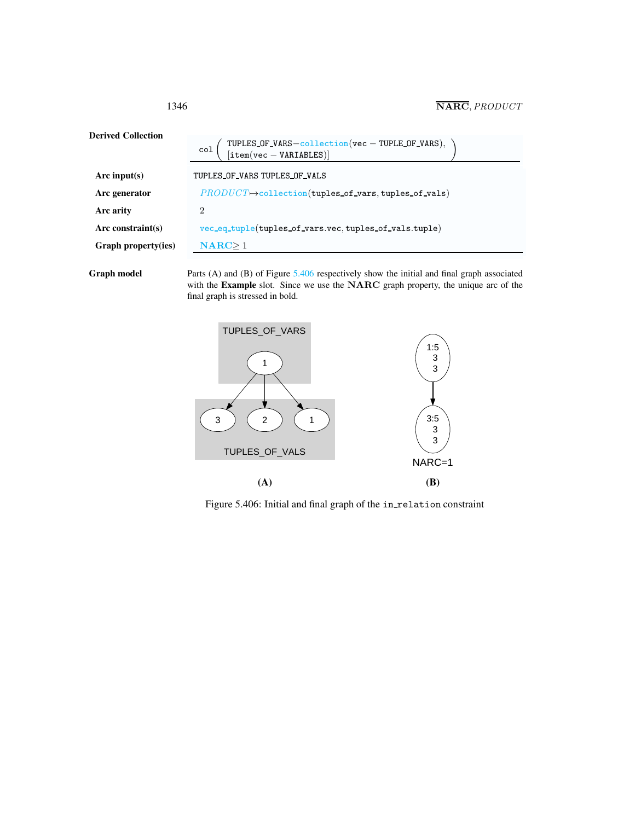| <b>Derived Collection</b> | TUPLES_OF_VARS-collection(vec - TUPLE_OF_VARS),<br>[item(vec - VARIABLES)]<br>col |  |
|---------------------------|-----------------------------------------------------------------------------------|--|
| Arc input(s)              | TUPLES OF VARS TUPLES OF VALS                                                     |  |
| Arc generator             | $PRODUCT \rightarrow collection(tuples_of_vars, tuples_of_vals)$                  |  |
| Arc arity                 | 2                                                                                 |  |
| $Arc$ constraint(s)       | vec_eq_tuple(tuples_of_vars.vec,tuples_of_vals.tuple)                             |  |
| Graph property(ies)       | $NARC \geq 1$                                                                     |  |
|                           |                                                                                   |  |

Graph model Parts (A) and (B) of Figure [5.406](#page-2-1) respectively show the initial and final graph associated with the Example slot. Since we use the NARC graph property, the unique arc of the final graph is stressed in bold.



<span id="page-2-1"></span>Figure 5.406: Initial and final graph of the in\_relation constraint

<span id="page-2-0"></span>